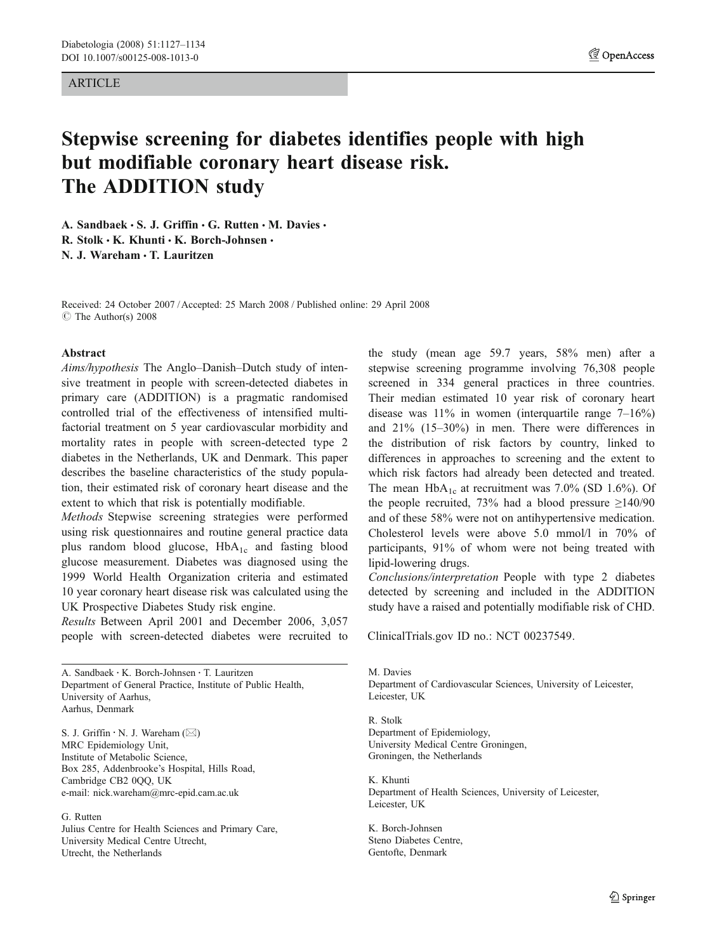### ARTICLE

# Stepwise screening for diabetes identifies people with high but modifiable coronary heart disease risk. The ADDITION study

A. Sandbaek  $\cdot$  S. J. Griffin  $\cdot$  G. Rutten  $\cdot$  M. Davies  $\cdot$ R. Stolk  $\cdot$  K. Khunti  $\cdot$  K. Borch-Johnsen  $\cdot$ N. J. Wareham & T. Lauritzen

Received: 24 October 2007 /Accepted: 25 March 2008 / Published online: 29 April 2008  $\circ$  The Author(s) 2008

# Abstract

Aims/hypothesis The Anglo–Danish–Dutch study of intensive treatment in people with screen-detected diabetes in primary care (ADDITION) is a pragmatic randomised controlled trial of the effectiveness of intensified multifactorial treatment on 5 year cardiovascular morbidity and mortality rates in people with screen-detected type 2 diabetes in the Netherlands, UK and Denmark. This paper describes the baseline characteristics of the study population, their estimated risk of coronary heart disease and the extent to which that risk is potentially modifiable.

Methods Stepwise screening strategies were performed using risk questionnaires and routine general practice data plus random blood glucose,  $HbA_{1c}$  and fasting blood glucose measurement. Diabetes was diagnosed using the 1999 World Health Organization criteria and estimated 10 year coronary heart disease risk was calculated using the UK Prospective Diabetes Study risk engine.

Results Between April 2001 and December 2006, 3,057 people with screen-detected diabetes were recruited to

A. Sandbaek : K. Borch-Johnsen : T. Lauritzen Department of General Practice, Institute of Public Health, University of Aarhus, Aarhus, Denmark

S. J. Griffin : N. J. Wareham (*\**) MRC Epidemiology Unit, Institute of Metabolic Science, Box 285, Addenbrooke's Hospital, Hills Road, Cambridge CB2 0QQ, UK e-mail: nick.wareham@mrc-epid.cam.ac.uk

#### G. Rutten

Julius Centre for Health Sciences and Primary Care, University Medical Centre Utrecht, Utrecht, the Netherlands

the study (mean age 59.7 years, 58% men) after a stepwise screening programme involving 76,308 people screened in 334 general practices in three countries. Their median estimated 10 year risk of coronary heart disease was 11% in women (interquartile range 7–16%) and 21% (15–30%) in men. There were differences in the distribution of risk factors by country, linked to differences in approaches to screening and the extent to which risk factors had already been detected and treated. The mean  $HbA_{1c}$  at recruitment was 7.0% (SD 1.6%). Of the people recruited, 73% had a blood pressure  $\geq$ 140/90 and of these 58% were not on antihypertensive medication. Cholesterol levels were above 5.0 mmol/l in 70% of participants, 91% of whom were not being treated with lipid-lowering drugs.

Conclusions/interpretation People with type 2 diabetes detected by screening and included in the ADDITION study have a raised and potentially modifiable risk of CHD.

ClinicalTrials.gov ID no.: NCT 00237549.

M. Davies Department of Cardiovascular Sciences, University of Leicester, Leicester, UK

R. Stolk Department of Epidemiology, University Medical Centre Groningen, Groningen, the Netherlands

K. Khunti Department of Health Sciences, University of Leicester, Leicester, UK

K. Borch-Johnsen Steno Diabetes Centre, Gentofte, Denmark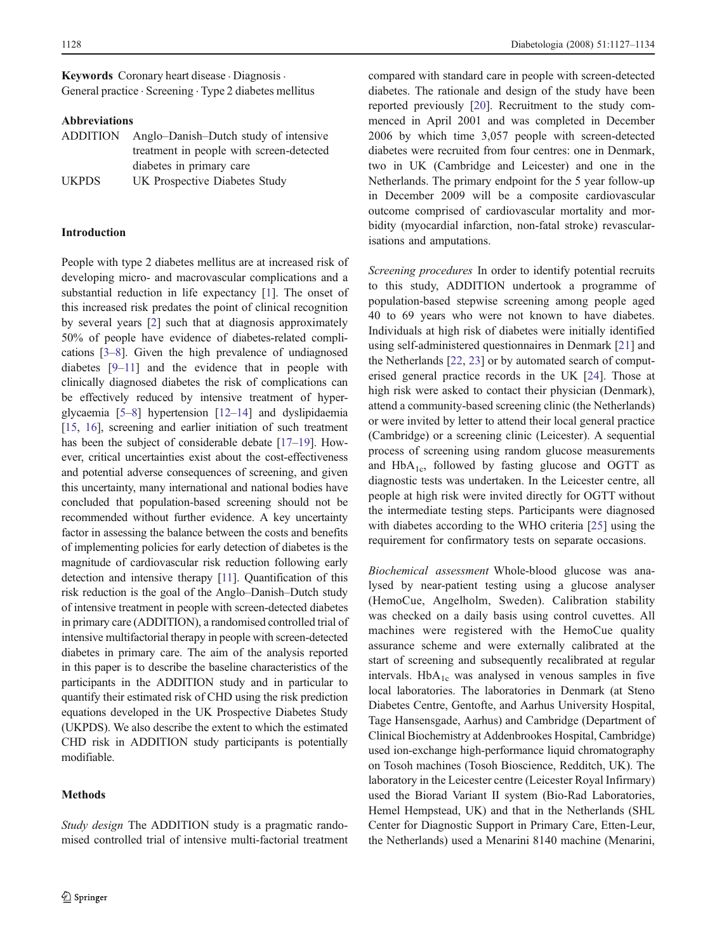Keywords Coronary heart disease . Diagnosis . General practice . Screening . Type 2 diabetes mellitus

# Abbreviations

| <b>ADDITION</b> | Anglo-Danish-Dutch study of intensive    |
|-----------------|------------------------------------------|
|                 | treatment in people with screen-detected |
|                 | diabetes in primary care                 |
| <b>UKPDS</b>    | UK Prospective Diabetes Study            |

### Introduction

People with type 2 diabetes mellitus are at increased risk of developing micro- and macrovascular complications and a substantial reduction in life expectancy [[1\]](#page-6-0). The onset of this increased risk predates the point of clinical recognition by several years [\[2](#page-6-0)] such that at diagnosis approximately 50% of people have evidence of diabetes-related complications [\[3](#page-6-0)–[8\]](#page-6-0). Given the high prevalence of undiagnosed diabetes [\[9](#page-6-0)–[11\]](#page-6-0) and the evidence that in people with clinically diagnosed diabetes the risk of complications can be effectively reduced by intensive treatment of hyperglycaemia [[5](#page-6-0)–[8](#page-6-0)] hypertension [[12](#page-6-0)–[14](#page-6-0)] and dyslipidaemia [\[15,](#page-6-0) [16\]](#page-6-0), screening and earlier initiation of such treatment has been the subject of considerable debate [\[17](#page-6-0)–[19\]](#page-6-0). However, critical uncertainties exist about the cost-effectiveness and potential adverse consequences of screening, and given this uncertainty, many international and national bodies have concluded that population-based screening should not be recommended without further evidence. A key uncertainty factor in assessing the balance between the costs and benefits of implementing policies for early detection of diabetes is the magnitude of cardiovascular risk reduction following early detection and intensive therapy [\[11](#page-6-0)]. Quantification of this risk reduction is the goal of the Anglo–Danish–Dutch study of intensive treatment in people with screen-detected diabetes in primary care (ADDITION), a randomised controlled trial of intensive multifactorial therapy in people with screen-detected diabetes in primary care. The aim of the analysis reported in this paper is to describe the baseline characteristics of the participants in the ADDITION study and in particular to quantify their estimated risk of CHD using the risk prediction equations developed in the UK Prospective Diabetes Study (UKPDS). We also describe the extent to which the estimated CHD risk in ADDITION study participants is potentially modifiable.

# Methods

Study design The ADDITION study is a pragmatic randomised controlled trial of intensive multi-factorial treatment compared with standard care in people with screen-detected diabetes. The rationale and design of the study have been reported previously [[20\]](#page-6-0). Recruitment to the study commenced in April 2001 and was completed in December 2006 by which time 3,057 people with screen-detected diabetes were recruited from four centres: one in Denmark, two in UK (Cambridge and Leicester) and one in the Netherlands. The primary endpoint for the 5 year follow-up in December 2009 will be a composite cardiovascular outcome comprised of cardiovascular mortality and morbidity (myocardial infarction, non-fatal stroke) revascularisations and amputations.

Screening procedures In order to identify potential recruits to this study, ADDITION undertook a programme of population-based stepwise screening among people aged 40 to 69 years who were not known to have diabetes. Individuals at high risk of diabetes were initially identified using self-administered questionnaires in Denmark [\[21](#page-6-0)] and the Netherlands [\[22](#page-6-0), [23\]](#page-6-0) or by automated search of computerised general practice records in the UK [\[24](#page-6-0)]. Those at high risk were asked to contact their physician (Denmark), attend a community-based screening clinic (the Netherlands) or were invited by letter to attend their local general practice (Cambridge) or a screening clinic (Leicester). A sequential process of screening using random glucose measurements and  $HbA_{1c}$ , followed by fasting glucose and OGTT as diagnostic tests was undertaken. In the Leicester centre, all people at high risk were invited directly for OGTT without the intermediate testing steps. Participants were diagnosed with diabetes according to the WHO criteria [\[25](#page-6-0)] using the requirement for confirmatory tests on separate occasions.

Biochemical assessment Whole-blood glucose was analysed by near-patient testing using a glucose analyser (HemoCue, Angelholm, Sweden). Calibration stability was checked on a daily basis using control cuvettes. All machines were registered with the HemoCue quality assurance scheme and were externally calibrated at the start of screening and subsequently recalibrated at regular intervals.  $HbA_{1c}$  was analysed in venous samples in five local laboratories. The laboratories in Denmark (at Steno Diabetes Centre, Gentofte, and Aarhus University Hospital, Tage Hansensgade, Aarhus) and Cambridge (Department of Clinical Biochemistry at Addenbrookes Hospital, Cambridge) used ion-exchange high-performance liquid chromatography on Tosoh machines (Tosoh Bioscience, Redditch, UK). The laboratory in the Leicester centre (Leicester Royal Infirmary) used the Biorad Variant II system (Bio-Rad Laboratories, Hemel Hempstead, UK) and that in the Netherlands (SHL Center for Diagnostic Support in Primary Care, Etten-Leur, the Netherlands) used a Menarini 8140 machine (Menarini,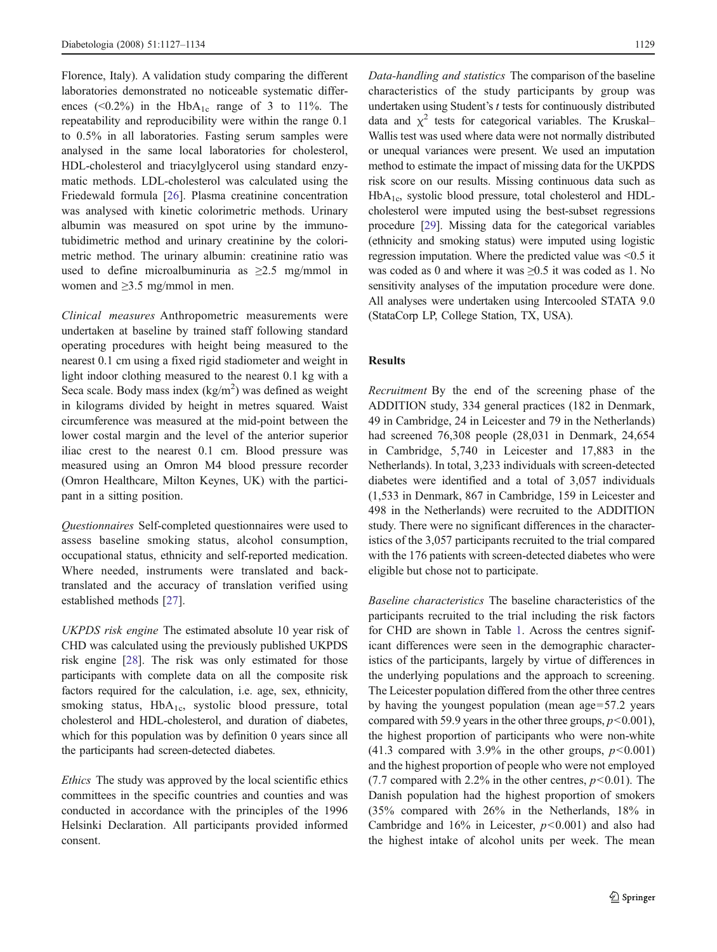Florence, Italy). A validation study comparing the different laboratories demonstrated no noticeable systematic differences (<0.2%) in the  $HbA_{1c}$  range of 3 to 11%. The repeatability and reproducibility were within the range 0.1 to 0.5% in all laboratories. Fasting serum samples were analysed in the same local laboratories for cholesterol, HDL-cholesterol and triacylglycerol using standard enzymatic methods. LDL-cholesterol was calculated using the Friedewald formula [[26\]](#page-6-0). Plasma creatinine concentration was analysed with kinetic colorimetric methods. Urinary albumin was measured on spot urine by the immunotubidimetric method and urinary creatinine by the colorimetric method. The urinary albumin: creatinine ratio was used to define microalbuminuria as  $\geq 2.5$  mg/mmol in women and ≥3.5 mg/mmol in men.

Clinical measures Anthropometric measurements were undertaken at baseline by trained staff following standard operating procedures with height being measured to the nearest 0.1 cm using a fixed rigid stadiometer and weight in light indoor clothing measured to the nearest 0.1 kg with a Seca scale. Body mass index  $(kg/m^2)$  was defined as weight in kilograms divided by height in metres squared. Waist circumference was measured at the mid-point between the lower costal margin and the level of the anterior superior iliac crest to the nearest 0.1 cm. Blood pressure was measured using an Omron M4 blood pressure recorder (Omron Healthcare, Milton Keynes, UK) with the participant in a sitting position.

Questionnaires Self-completed questionnaires were used to assess baseline smoking status, alcohol consumption, occupational status, ethnicity and self-reported medication. Where needed, instruments were translated and backtranslated and the accuracy of translation verified using established methods [\[27](#page-7-0)].

UKPDS risk engine The estimated absolute 10 year risk of CHD was calculated using the previously published UKPDS risk engine [[28\]](#page-7-0). The risk was only estimated for those participants with complete data on all the composite risk factors required for the calculation, i.e. age, sex, ethnicity, smoking status,  $HbA_{1c}$ , systolic blood pressure, total cholesterol and HDL-cholesterol, and duration of diabetes, which for this population was by definition 0 years since all the participants had screen-detected diabetes.

Ethics The study was approved by the local scientific ethics committees in the specific countries and counties and was conducted in accordance with the principles of the 1996 Helsinki Declaration. All participants provided informed consent.

Data-handling and statistics The comparison of the baseline characteristics of the study participants by group was undertaken using Student's  $t$  tests for continuously distributed data and  $\chi^2$  tests for categorical variables. The Kruskal– Wallis test was used where data were not normally distributed or unequal variances were present. We used an imputation method to estimate the impact of missing data for the UKPDS risk score on our results. Missing continuous data such as HbA1c, systolic blood pressure, total cholesterol and HDLcholesterol were imputed using the best-subset regressions procedure [[29](#page-7-0)]. Missing data for the categorical variables (ethnicity and smoking status) were imputed using logistic regression imputation. Where the predicted value was <0.5 it was coded as 0 and where it was ≥0.5 it was coded as 1. No sensitivity analyses of the imputation procedure were done. All analyses were undertaken using Intercooled STATA 9.0 (StataCorp LP, College Station, TX, USA).

## Results

Recruitment By the end of the screening phase of the ADDITION study, 334 general practices (182 in Denmark, 49 in Cambridge, 24 in Leicester and 79 in the Netherlands) had screened 76,308 people (28,031 in Denmark, 24,654 in Cambridge, 5,740 in Leicester and 17,883 in the Netherlands). In total, 3,233 individuals with screen-detected diabetes were identified and a total of 3,057 individuals (1,533 in Denmark, 867 in Cambridge, 159 in Leicester and 498 in the Netherlands) were recruited to the ADDITION study. There were no significant differences in the characteristics of the 3,057 participants recruited to the trial compared with the 176 patients with screen-detected diabetes who were eligible but chose not to participate.

Baseline characteristics The baseline characteristics of the participants recruited to the trial including the risk factors for CHD are shown in Table [1.](#page-3-0) Across the centres significant differences were seen in the demographic characteristics of the participants, largely by virtue of differences in the underlying populations and the approach to screening. The Leicester population differed from the other three centres by having the youngest population (mean age=57.2 years compared with 59.9 years in the other three groups,  $p<0.001$ ), the highest proportion of participants who were non-white (41.3 compared with 3.9% in the other groups,  $p < 0.001$ ) and the highest proportion of people who were not employed (7.7 compared with 2.2% in the other centres,  $p<0.01$ ). The Danish population had the highest proportion of smokers (35% compared with 26% in the Netherlands, 18% in Cambridge and  $16\%$  in Leicester,  $p<0.001$ ) and also had the highest intake of alcohol units per week. The mean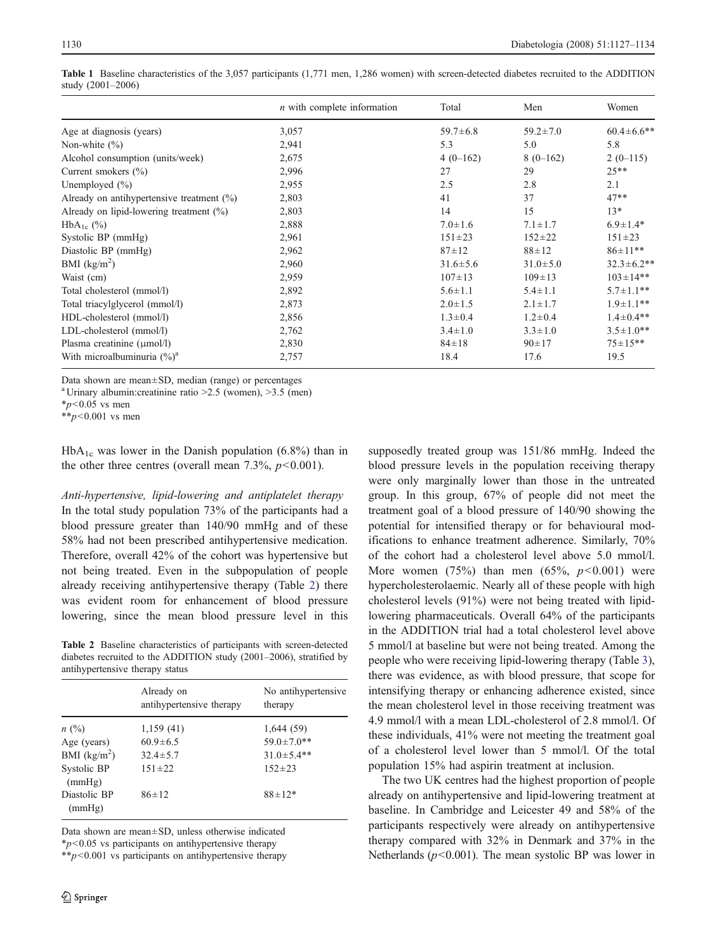|                                              | $n$ with complete information | Total          | Men            | Women             |
|----------------------------------------------|-------------------------------|----------------|----------------|-------------------|
| Age at diagnosis (years)                     | 3,057                         | $59.7 \pm 6.8$ | $59.2 \pm 7.0$ | $60.4 \pm 6.6$ ** |
| Non-white $(\% )$                            | 2,941                         | 5.3            | 5.0            | 5.8               |
| Alcohol consumption (units/week)             | 2,675                         | $4(0-162)$     | $8(0-162)$     | $2(0-115)$        |
| Current smokers $(\% )$                      | 2,996                         | 27             | 29             | $25**$            |
| Unemployed $(\% )$                           | 2,955                         | 2.5            | 2.8            | 2.1               |
| Already on antihypertensive treatment $(\%)$ | 2,803                         | 41             | 37             | $47**$            |
| Already on lipid-lowering treatment $(\%)$   | 2,803                         | 14             | 15             | $13*$             |
| $HbA_{1c}$ (%)                               | 2,888                         | $7.0 \pm 1.6$  | $7.1 \pm 1.7$  | $6.9 \pm 1.4*$    |
| Systolic BP (mmHg)                           | 2,961                         | $151 \pm 23$   | $152 \pm 22$   | $151 \pm 23$      |
| Diastolic BP (mmHg)                          | 2,962                         | $87 + 12$      | $88 + 12$      | $86 \pm 11**$     |
| BMI $(kg/m2)$                                | 2,960                         | $31.6 \pm 5.6$ | $31.0 \pm 5.0$ | $32.3 \pm 6.2**$  |
| Waist (cm)                                   | 2,959                         | $107 \pm 13$   | $109 \pm 13$   | $103 \pm 14**$    |
| Total cholesterol (mmol/l)                   | 2,892                         | $5.6 \pm 1.1$  | $5.4 \pm 1.1$  | $5.7 \pm 1.1$ **  |
| Total triacylglycerol (mmol/l)               | 2,873                         | $2.0 \pm 1.5$  | $2.1 \pm 1.7$  | $1.9 \pm 1.1$ **  |
| HDL-cholesterol (mmol/l)                     | 2,856                         | $1.3 \pm 0.4$  | $1.2 \pm 0.4$  | $1.4 \pm 0.4**$   |
| LDL-cholesterol (mmol/l)                     | 2,762                         | $3.4 \pm 1.0$  | $3.3 \pm 1.0$  | $3.5 \pm 1.0**$   |
| Plasma creatinine $(\mu \text{mol/l})$       | 2,830                         | $84 \pm 18$    | $90 \pm 17$    | $75 \pm 15**$     |
| With microalbuminuria $(\%)^a$               | 2,757                         | 18.4           | 17.6           | 19.5              |

<span id="page-3-0"></span>Table 1 Baseline characteristics of the 3,057 participants (1,771 men, 1,286 women) with screen-detected diabetes recruited to the ADDITION study (2001–2006)

Data shown are mean±SD, median (range) or percentages

<sup>a</sup> Urinary albumin: creatinine ratio  $>2.5$  (women),  $>3.5$  (men)

 $*_{p<0.05}$  vs men

 $*_{p<0.001}$  vs men

 $HbA_{1c}$  was lower in the Danish population (6.8%) than in the other three centres (overall mean  $7.3\%$ ,  $p<0.001$ ).

Anti-hypertensive, lipid-lowering and antiplatelet therapy In the total study population 73% of the participants had a blood pressure greater than 140/90 mmHg and of these 58% had not been prescribed antihypertensive medication. Therefore, overall 42% of the cohort was hypertensive but not being treated. Even in the subpopulation of people already receiving antihypertensive therapy (Table 2) there was evident room for enhancement of blood pressure lowering, since the mean blood pressure level in this

Table 2 Baseline characteristics of participants with screen-detected diabetes recruited to the ADDITION study (2001–2006), stratified by antihypertensive therapy status

|                        | Already on<br>antihypertensive therapy | No antihypertensive<br>therapy |
|------------------------|----------------------------------------|--------------------------------|
| n(%)                   | 1,159(41)                              | 1,644(59)                      |
| Age (years)            | $60.9 \pm 6.5$                         | $59.0 \pm 7.0$ **              |
| BMI $(kg/m2)$          | $32.4 \pm 5.7$                         | $31.0 \pm 5.4$ **              |
| Systolic BP<br>(mmHg)  | $151 \pm 22$                           | $152 \pm 23$                   |
| Diastolic BP<br>(mmHg) | $86 \pm 12$                            | $88 \pm 12*$                   |

Data shown are mean±SD, unless otherwise indicated

 $*p<0.05$  vs participants on antihypertensive therapy

 $*p<0.001$  vs participants on antihypertensive therapy

supposedly treated group was 151/86 mmHg. Indeed the blood pressure levels in the population receiving therapy were only marginally lower than those in the untreated group. In this group, 67% of people did not meet the treatment goal of a blood pressure of 140/90 showing the potential for intensified therapy or for behavioural modifications to enhance treatment adherence. Similarly, 70% of the cohort had a cholesterol level above 5.0 mmol/l. More women (75%) than men (65%,  $p < 0.001$ ) were hypercholesterolaemic. Nearly all of these people with high cholesterol levels (91%) were not being treated with lipidlowering pharmaceuticals. Overall 64% of the participants in the ADDITION trial had a total cholesterol level above 5 mmol/l at baseline but were not being treated. Among the people who were receiving lipid-lowering therapy (Table [3\)](#page-4-0), there was evidence, as with blood pressure, that scope for intensifying therapy or enhancing adherence existed, since the mean cholesterol level in those receiving treatment was 4.9 mmol/l with a mean LDL-cholesterol of 2.8 mmol/l. Of these individuals, 41% were not meeting the treatment goal of a cholesterol level lower than 5 mmol/l. Of the total population 15% had aspirin treatment at inclusion.

The two UK centres had the highest proportion of people already on antihypertensive and lipid-lowering treatment at baseline. In Cambridge and Leicester 49 and 58% of the participants respectively were already on antihypertensive therapy compared with 32% in Denmark and 37% in the Netherlands ( $p$ <0.001). The mean systolic BP was lower in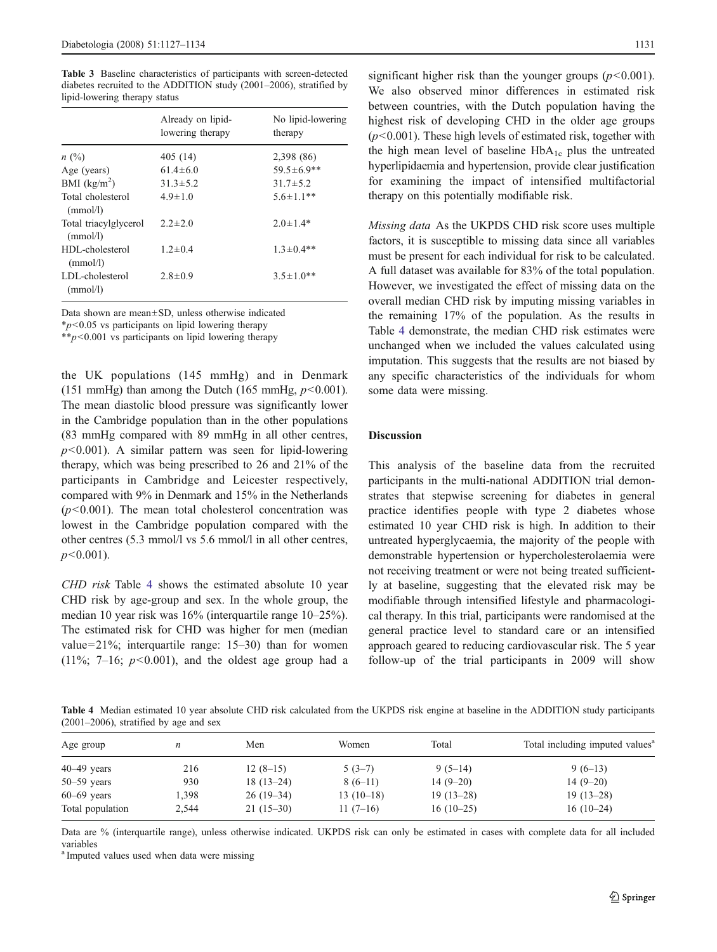<span id="page-4-0"></span>Table 3 Baseline characteristics of participants with screen-detected diabetes recruited to the ADDITION study (2001–2006), stratified by lipid-lowering therapy status

|                                   | Already on lipid-<br>lowering therapy | No lipid-lowering<br>therapy |
|-----------------------------------|---------------------------------------|------------------------------|
| n(%)                              | 405 (14)                              | 2,398 (86)                   |
| Age (years)                       | $61.4 \pm 6.0$                        | $59.5 \pm 6.9$ **            |
| BMI $(kg/m^2)$                    | $31.3 \pm 5.2$                        | $31.7 \pm 5.2$               |
| Total cholesterol<br>(mmol/l)     | $4.9 \pm 1.0$                         | $5.6 \pm 1.1**$              |
| Total triacylglycerol<br>(mmol/l) | $2.2 \pm 2.0$                         | $2.0 \pm 1.4*$               |
| HDL-cholesterol<br>(mmol/l)       | $1.2 \pm 0.4$                         | $1.3 \pm 0.4$ **             |
| LDL-cholesterol<br>(mmol/l)       | $2.8 \pm 0.9$                         | $3.5 \pm 1.0**$              |

Data shown are mean±SD, unless otherwise indicated

 $**p*$ <0.05 vs participants on lipid lowering therapy

\*\*p<0.001 vs participants on lipid lowering therapy

the UK populations (145 mmHg) and in Denmark (151 mmHg) than among the Dutch (165 mmHg,  $p<0.001$ ). The mean diastolic blood pressure was significantly lower in the Cambridge population than in the other populations (83 mmHg compared with 89 mmHg in all other centres,  $p<0.001$ ). A similar pattern was seen for lipid-lowering therapy, which was being prescribed to 26 and 21% of the participants in Cambridge and Leicester respectively, compared with 9% in Denmark and 15% in the Netherlands  $(p<0.001)$ . The mean total cholesterol concentration was lowest in the Cambridge population compared with the other centres (5.3 mmol/l vs 5.6 mmol/l in all other centres,  $p<0.001$ ).

CHD risk Table 4 shows the estimated absolute 10 year CHD risk by age-group and sex. In the whole group, the median 10 year risk was 16% (interquartile range 10–25%). The estimated risk for CHD was higher for men (median value=21%; interquartile range: 15–30) than for women  $(11\%; 7-16; p<0.001)$ , and the oldest age group had a significant higher risk than the younger groups  $(p<0.001)$ . We also observed minor differences in estimated risk between countries, with the Dutch population having the highest risk of developing CHD in the older age groups  $(p<0.001)$ . These high levels of estimated risk, together with the high mean level of baseline  $HbA_{1c}$  plus the untreated hyperlipidaemia and hypertension, provide clear justification for examining the impact of intensified multifactorial therapy on this potentially modifiable risk.

Missing data As the UKPDS CHD risk score uses multiple factors, it is susceptible to missing data since all variables must be present for each individual for risk to be calculated. A full dataset was available for 83% of the total population. However, we investigated the effect of missing data on the overall median CHD risk by imputing missing variables in the remaining 17% of the population. As the results in Table 4 demonstrate, the median CHD risk estimates were unchanged when we included the values calculated using imputation. This suggests that the results are not biased by any specific characteristics of the individuals for whom some data were missing.

# Discussion

This analysis of the baseline data from the recruited participants in the multi-national ADDITION trial demonstrates that stepwise screening for diabetes in general practice identifies people with type 2 diabetes whose estimated 10 year CHD risk is high. In addition to their untreated hyperglycaemia, the majority of the people with demonstrable hypertension or hypercholesterolaemia were not receiving treatment or were not being treated sufficiently at baseline, suggesting that the elevated risk may be modifiable through intensified lifestyle and pharmacological therapy. In this trial, participants were randomised at the general practice level to standard care or an intensified approach geared to reducing cardiovascular risk. The 5 year follow-up of the trial participants in 2009 will show

Table 4 Median estimated 10 year absolute CHD risk calculated from the UKPDS risk engine at baseline in the ADDITION study participants (2001–2006), stratified by age and sex

| Age group        | $\boldsymbol{n}$ | Men         | Women       | Total       | Total including imputed values <sup>a</sup> |
|------------------|------------------|-------------|-------------|-------------|---------------------------------------------|
| $40-49$ years    | 216              | $12(8-15)$  | $5(3-7)$    | $9(5-14)$   | $9(6-13)$                                   |
| $50 - 59$ years  | 930              | $18(13-24)$ | $8(6-11)$   | $14(9-20)$  | $14(9-20)$                                  |
| $60-69$ years    | 1.398            | $26(19-34)$ | $13(10-18)$ | $19(13-28)$ | $19(13-28)$                                 |
| Total population | 2.544            | $21(15-30)$ | $11(7-16)$  | $16(10-25)$ | $16(10-24)$                                 |

Data are % (interquartile range), unless otherwise indicated. UKPDS risk can only be estimated in cases with complete data for all included variables

<sup>a</sup> Imputed values used when data were missing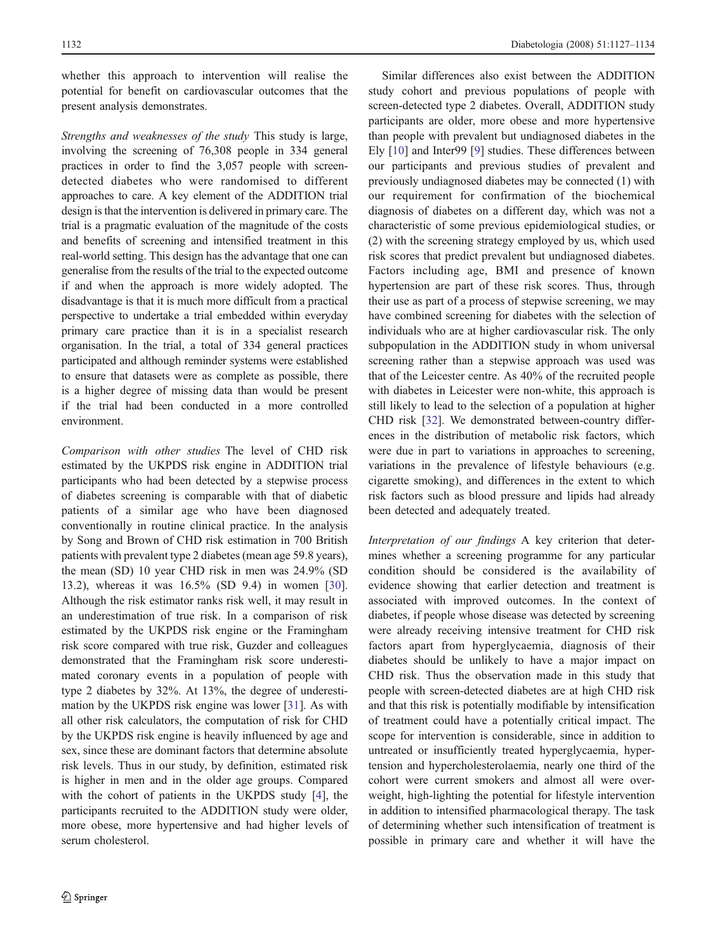whether this approach to intervention will realise the potential for benefit on cardiovascular outcomes that the present analysis demonstrates.

Strengths and weaknesses of the study This study is large, involving the screening of 76,308 people in 334 general practices in order to find the 3,057 people with screendetected diabetes who were randomised to different approaches to care. A key element of the ADDITION trial design is that the intervention is delivered in primary care. The trial is a pragmatic evaluation of the magnitude of the costs and benefits of screening and intensified treatment in this real-world setting. This design has the advantage that one can generalise from the results of the trial to the expected outcome if and when the approach is more widely adopted. The disadvantage is that it is much more difficult from a practical perspective to undertake a trial embedded within everyday primary care practice than it is in a specialist research organisation. In the trial, a total of 334 general practices participated and although reminder systems were established to ensure that datasets were as complete as possible, there is a higher degree of missing data than would be present if the trial had been conducted in a more controlled environment.

Comparison with other studies The level of CHD risk estimated by the UKPDS risk engine in ADDITION trial participants who had been detected by a stepwise process of diabetes screening is comparable with that of diabetic patients of a similar age who have been diagnosed conventionally in routine clinical practice. In the analysis by Song and Brown of CHD risk estimation in 700 British patients with prevalent type 2 diabetes (mean age 59.8 years), the mean (SD) 10 year CHD risk in men was 24.9% (SD 13.2), whereas it was 16.5% (SD 9.4) in women [\[30](#page-7-0)]. Although the risk estimator ranks risk well, it may result in an underestimation of true risk. In a comparison of risk estimated by the UKPDS risk engine or the Framingham risk score compared with true risk, Guzder and colleagues demonstrated that the Framingham risk score underestimated coronary events in a population of people with type 2 diabetes by 32%. At 13%, the degree of underestimation by the UKPDS risk engine was lower [[31\]](#page-7-0). As with all other risk calculators, the computation of risk for CHD by the UKPDS risk engine is heavily influenced by age and sex, since these are dominant factors that determine absolute risk levels. Thus in our study, by definition, estimated risk is higher in men and in the older age groups. Compared with the cohort of patients in the UKPDS study [[4\]](#page-6-0), the participants recruited to the ADDITION study were older, more obese, more hypertensive and had higher levels of serum cholesterol.

Similar differences also exist between the ADDITION study cohort and previous populations of people with screen-detected type 2 diabetes. Overall, ADDITION study participants are older, more obese and more hypertensive than people with prevalent but undiagnosed diabetes in the Ely [\[10](#page-6-0)] and Inter99 [\[9](#page-6-0)] studies. These differences between our participants and previous studies of prevalent and previously undiagnosed diabetes may be connected (1) with our requirement for confirmation of the biochemical diagnosis of diabetes on a different day, which was not a characteristic of some previous epidemiological studies, or (2) with the screening strategy employed by us, which used risk scores that predict prevalent but undiagnosed diabetes. Factors including age, BMI and presence of known hypertension are part of these risk scores. Thus, through their use as part of a process of stepwise screening, we may have combined screening for diabetes with the selection of individuals who are at higher cardiovascular risk. The only subpopulation in the ADDITION study in whom universal screening rather than a stepwise approach was used was that of the Leicester centre. As 40% of the recruited people with diabetes in Leicester were non-white, this approach is still likely to lead to the selection of a population at higher CHD risk [[32\]](#page-7-0). We demonstrated between-country differences in the distribution of metabolic risk factors, which were due in part to variations in approaches to screening, variations in the prevalence of lifestyle behaviours (e.g. cigarette smoking), and differences in the extent to which risk factors such as blood pressure and lipids had already been detected and adequately treated.

Interpretation of our findings A key criterion that determines whether a screening programme for any particular condition should be considered is the availability of evidence showing that earlier detection and treatment is associated with improved outcomes. In the context of diabetes, if people whose disease was detected by screening were already receiving intensive treatment for CHD risk factors apart from hyperglycaemia, diagnosis of their diabetes should be unlikely to have a major impact on CHD risk. Thus the observation made in this study that people with screen-detected diabetes are at high CHD risk and that this risk is potentially modifiable by intensification of treatment could have a potentially critical impact. The scope for intervention is considerable, since in addition to untreated or insufficiently treated hyperglycaemia, hypertension and hypercholesterolaemia, nearly one third of the cohort were current smokers and almost all were overweight, high-lighting the potential for lifestyle intervention in addition to intensified pharmacological therapy. The task of determining whether such intensification of treatment is possible in primary care and whether it will have the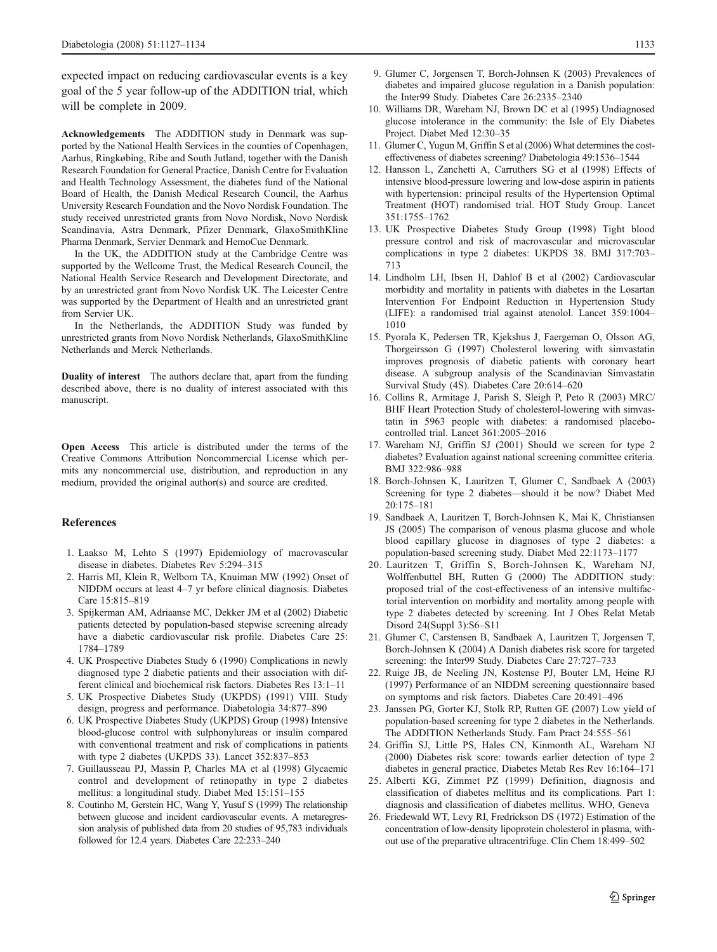<span id="page-6-0"></span>expected impact on reducing cardiovascular events is a key goal of the 5 year follow-up of the ADDITION trial, which will be complete in 2009.

Acknowledgements The ADDITION study in Denmark was supported by the National Health Services in the counties of Copenhagen, Aarhus, Ringkøbing, Ribe and South Jutland, together with the Danish Research Foundation for General Practice, Danish Centre for Evaluation and Health Technology Assessment, the diabetes fund of the National Board of Health, the Danish Medical Research Council, the Aarhus University Research Foundation and the Novo Nordisk Foundation. The study received unrestricted grants from Novo Nordisk, Novo Nordisk Scandinavia, Astra Denmark, Pfizer Denmark, GlaxoSmithKline Pharma Denmark, Servier Denmark and HemoCue Denmark.

In the UK, the ADDITION study at the Cambridge Centre was supported by the Wellcome Trust, the Medical Research Council, the National Health Service Research and Development Directorate, and by an unrestricted grant from Novo Nordisk UK. The Leicester Centre was supported by the Department of Health and an unrestricted grant from Servier UK.

In the Netherlands, the ADDITION Study was funded by unrestricted grants from Novo Nordisk Netherlands, GlaxoSmithKline Netherlands and Merck Netherlands.

Duality of interest The authors declare that, apart from the funding described above, there is no duality of interest associated with this manuscript.

Open Access This article is distributed under the terms of the Creative Commons Attribution Noncommercial License which permits any noncommercial use, distribution, and reproduction in any medium, provided the original author(s) and source are credited.

#### References

- 1. Laakso M, Lehto S (1997) Epidemiology of macrovascular disease in diabetes. Diabetes Rev 5:294–315
- 2. Harris MI, Klein R, Welborn TA, Knuiman MW (1992) Onset of NIDDM occurs at least 4–7 yr before clinical diagnosis. Diabetes Care 15:815–819
- 3. Spijkerman AM, Adriaanse MC, Dekker JM et al (2002) Diabetic patients detected by population-based stepwise screening already have a diabetic cardiovascular risk profile. Diabetes Care 25: 1784–1789
- 4. UK Prospective Diabetes Study 6 (1990) Complications in newly diagnosed type 2 diabetic patients and their association with different clinical and biochemical risk factors. Diabetes Res 13:1–11
- 5. UK Prospective Diabetes Study (UKPDS) (1991) VIII. Study design, progress and performance. Diabetologia 34:877–890
- 6. UK Prospective Diabetes Study (UKPDS) Group (1998) Intensive blood-glucose control with sulphonylureas or insulin compared with conventional treatment and risk of complications in patients with type 2 diabetes (UKPDS 33). Lancet 352:837–853
- 7. Guillausseau PJ, Massin P, Charles MA et al (1998) Glycaemic control and development of retinopathy in type 2 diabetes mellitus: a longitudinal study. Diabet Med 15:151–155
- 8. Coutinho M, Gerstein HC, Wang Y, Yusuf S (1999) The relationship between glucose and incident cardiovascular events. A metaregression analysis of published data from 20 studies of 95,783 individuals followed for 12.4 years. Diabetes Care 22:233–240
- 9. Glumer C, Jorgensen T, Borch-Johnsen K (2003) Prevalences of diabetes and impaired glucose regulation in a Danish population: the Inter99 Study. Diabetes Care 26:2335–2340
- 10. Williams DR, Wareham NJ, Brown DC et al (1995) Undiagnosed glucose intolerance in the community: the Isle of Ely Diabetes Project. Diabet Med 12:30–35
- 11. Glumer C, Yugun M, Griffin S et al (2006) What determines the costeffectiveness of diabetes screening? Diabetologia 49:1536–1544
- 12. Hansson L, Zanchetti A, Carruthers SG et al (1998) Effects of intensive blood-pressure lowering and low-dose aspirin in patients with hypertension: principal results of the Hypertension Optimal Treatment (HOT) randomised trial. HOT Study Group. Lancet 351:1755–1762
- 13. UK Prospective Diabetes Study Group (1998) Tight blood pressure control and risk of macrovascular and microvascular complications in type 2 diabetes: UKPDS 38. BMJ 317:703– 713
- 14. Lindholm LH, Ibsen H, Dahlof B et al (2002) Cardiovascular morbidity and mortality in patients with diabetes in the Losartan Intervention For Endpoint Reduction in Hypertension Study (LIFE): a randomised trial against atenolol. Lancet 359:1004– 1010
- 15. Pyorala K, Pedersen TR, Kjekshus J, Faergeman O, Olsson AG, Thorgeirsson G (1997) Cholesterol lowering with simvastatin improves prognosis of diabetic patients with coronary heart disease. A subgroup analysis of the Scandinavian Simvastatin Survival Study (4S). Diabetes Care 20:614–620
- 16. Collins R, Armitage J, Parish S, Sleigh P, Peto R (2003) MRC/ BHF Heart Protection Study of cholesterol-lowering with simvastatin in 5963 people with diabetes: a randomised placebocontrolled trial. Lancet 361:2005–2016
- 17. Wareham NJ, Griffin SJ (2001) Should we screen for type 2 diabetes? Evaluation against national screening committee criteria. BMJ 322:986–988
- 18. Borch-Johnsen K, Lauritzen T, Glumer C, Sandbaek A (2003) Screening for type 2 diabetes—should it be now? Diabet Med 20:175–181
- 19. Sandbaek A, Lauritzen T, Borch-Johnsen K, Mai K, Christiansen JS (2005) The comparison of venous plasma glucose and whole blood capillary glucose in diagnoses of type 2 diabetes: a population-based screening study. Diabet Med 22:1173–1177
- 20. Lauritzen T, Griffin S, Borch-Johnsen K, Wareham NJ, Wolffenbuttel BH, Rutten G (2000) The ADDITION study: proposed trial of the cost-effectiveness of an intensive multifactorial intervention on morbidity and mortality among people with type 2 diabetes detected by screening. Int J Obes Relat Metab Disord 24(Suppl 3):S6–S11
- 21. Glumer C, Carstensen B, Sandbaek A, Lauritzen T, Jorgensen T, Borch-Johnsen K (2004) A Danish diabetes risk score for targeted screening: the Inter99 Study. Diabetes Care 27:727–733
- 22. Ruige JB, de Neeling JN, Kostense PJ, Bouter LM, Heine RJ (1997) Performance of an NIDDM screening questionnaire based on symptoms and risk factors. Diabetes Care 20:491–496
- 23. Janssen PG, Gorter KJ, Stolk RP, Rutten GE (2007) Low yield of population-based screening for type 2 diabetes in the Netherlands. The ADDITION Netherlands Study. Fam Pract 24:555–561
- 24. Griffin SJ, Little PS, Hales CN, Kinmonth AL, Wareham NJ (2000) Diabetes risk score: towards earlier detection of type 2 diabetes in general practice. Diabetes Metab Res Rev 16:164–171
- 25. Alberti KG, Zimmet PZ (1999) Definition, diagnosis and classification of diabetes mellitus and its complications. Part 1: diagnosis and classification of diabetes mellitus. WHO, Geneva
- 26. Friedewald WT, Levy RI, Fredrickson DS (1972) Estimation of the concentration of low-density lipoprotein cholesterol in plasma, without use of the preparative ultracentrifuge. Clin Chem 18:499–502